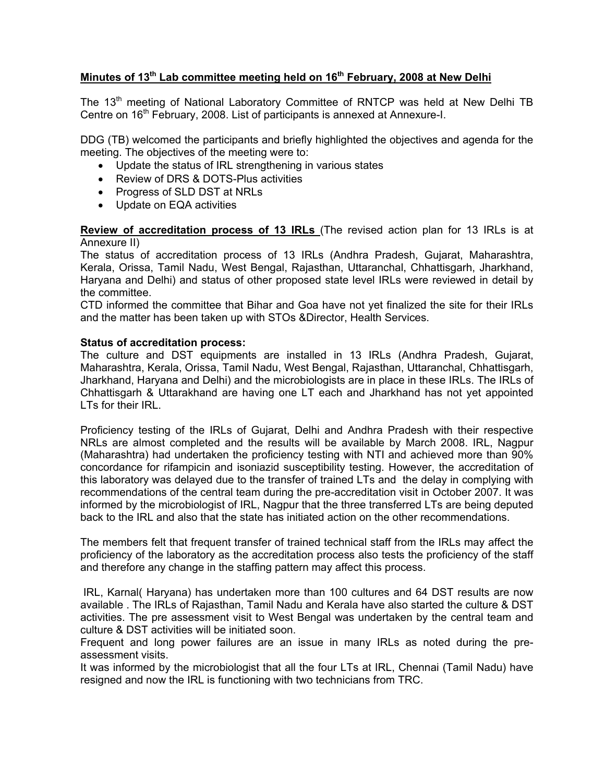# **Minutes of 13th Lab committee meeting held on 16th February, 2008 at New Delhi**

The 13<sup>th</sup> meeting of National Laboratory Committee of RNTCP was held at New Delhi TB Centre on 16<sup>th</sup> February, 2008. List of participants is annexed at Annexure-I.

DDG (TB) welcomed the participants and briefly highlighted the objectives and agenda for the meeting. The objectives of the meeting were to:

- Update the status of IRL strengthening in various states
- Review of DRS & DOTS-Plus activities
- Progress of SLD DST at NRLs
- Update on EQA activities

**Review of accreditation process of 13 IRLs** (The revised action plan for 13 IRLs is at Annexure II)

The status of accreditation process of 13 IRLs (Andhra Pradesh, Gujarat, Maharashtra, Kerala, Orissa, Tamil Nadu, West Bengal, Rajasthan, Uttaranchal, Chhattisgarh, Jharkhand, Haryana and Delhi) and status of other proposed state level IRLs were reviewed in detail by the committee.

CTD informed the committee that Bihar and Goa have not yet finalized the site for their IRLs and the matter has been taken up with STOs &Director, Health Services.

### **Status of accreditation process:**

The culture and DST equipments are installed in 13 IRLs (Andhra Pradesh, Gujarat, Maharashtra, Kerala, Orissa, Tamil Nadu, West Bengal, Rajasthan, Uttaranchal, Chhattisgarh, Jharkhand, Haryana and Delhi) and the microbiologists are in place in these IRLs. The IRLs of Chhattisgarh & Uttarakhand are having one LT each and Jharkhand has not yet appointed LTs for their IRL.

Proficiency testing of the IRLs of Gujarat, Delhi and Andhra Pradesh with their respective NRLs are almost completed and the results will be available by March 2008. IRL, Nagpur (Maharashtra) had undertaken the proficiency testing with NTI and achieved more than 90% concordance for rifampicin and isoniazid susceptibility testing. However, the accreditation of this laboratory was delayed due to the transfer of trained LTs and the delay in complying with recommendations of the central team during the pre-accreditation visit in October 2007. It was informed by the microbiologist of IRL, Nagpur that the three transferred LTs are being deputed back to the IRL and also that the state has initiated action on the other recommendations.

The members felt that frequent transfer of trained technical staff from the IRLs may affect the proficiency of the laboratory as the accreditation process also tests the proficiency of the staff and therefore any change in the staffing pattern may affect this process.

 IRL, Karnal( Haryana) has undertaken more than 100 cultures and 64 DST results are now available . The IRLs of Rajasthan, Tamil Nadu and Kerala have also started the culture & DST activities. The pre assessment visit to West Bengal was undertaken by the central team and culture & DST activities will be initiated soon.

Frequent and long power failures are an issue in many IRLs as noted during the preassessment visits.

It was informed by the microbiologist that all the four LTs at IRL, Chennai (Tamil Nadu) have resigned and now the IRL is functioning with two technicians from TRC.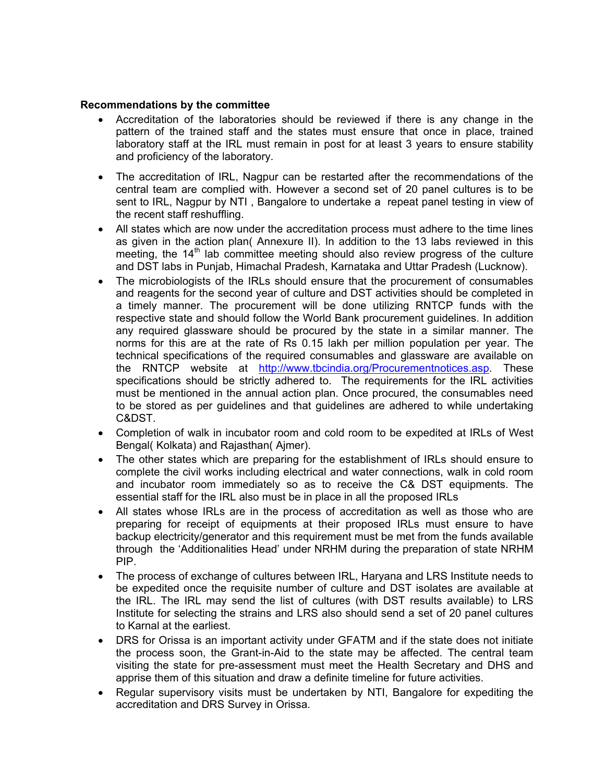### **Recommendations by the committee**

- Accreditation of the laboratories should be reviewed if there is any change in the pattern of the trained staff and the states must ensure that once in place, trained laboratory staff at the IRL must remain in post for at least 3 years to ensure stability and proficiency of the laboratory.
- The accreditation of IRL, Nagpur can be restarted after the recommendations of the central team are complied with. However a second set of 20 panel cultures is to be sent to IRL, Nagpur by NTI , Bangalore to undertake a repeat panel testing in view of the recent staff reshuffling.
- All states which are now under the accreditation process must adhere to the time lines as given in the action plan( Annexure II). In addition to the 13 labs reviewed in this meeting, the  $14<sup>th</sup>$  lab committee meeting should also review progress of the culture and DST labs in Punjab, Himachal Pradesh, Karnataka and Uttar Pradesh (Lucknow).
- The microbiologists of the IRLs should ensure that the procurement of consumables and reagents for the second year of culture and DST activities should be completed in a timely manner. The procurement will be done utilizing RNTCP funds with the respective state and should follow the World Bank procurement guidelines. In addition any required glassware should be procured by the state in a similar manner. The norms for this are at the rate of Rs 0.15 lakh per million population per year. The technical specifications of the required consumables and glassware are available on the RNTCP website at http://www.tbcindia.org/Procurementnotices.asp. These specifications should be strictly adhered to. The requirements for the IRL activities must be mentioned in the annual action plan. Once procured, the consumables need to be stored as per guidelines and that guidelines are adhered to while undertaking C&DST.
- Completion of walk in incubator room and cold room to be expedited at IRLs of West Bengal( Kolkata) and Rajasthan( Ajmer).
- The other states which are preparing for the establishment of IRLs should ensure to complete the civil works including electrical and water connections, walk in cold room and incubator room immediately so as to receive the C& DST equipments. The essential staff for the IRL also must be in place in all the proposed IRLs
- All states whose IRLs are in the process of accreditation as well as those who are preparing for receipt of equipments at their proposed IRLs must ensure to have backup electricity/generator and this requirement must be met from the funds available through the 'Additionalities Head' under NRHM during the preparation of state NRHM PIP.
- The process of exchange of cultures between IRL, Haryana and LRS Institute needs to be expedited once the requisite number of culture and DST isolates are available at the IRL. The IRL may send the list of cultures (with DST results available) to LRS Institute for selecting the strains and LRS also should send a set of 20 panel cultures to Karnal at the earliest.
- DRS for Orissa is an important activity under GFATM and if the state does not initiate the process soon, the Grant-in-Aid to the state may be affected. The central team visiting the state for pre-assessment must meet the Health Secretary and DHS and apprise them of this situation and draw a definite timeline for future activities.
- Regular supervisory visits must be undertaken by NTI, Bangalore for expediting the accreditation and DRS Survey in Orissa.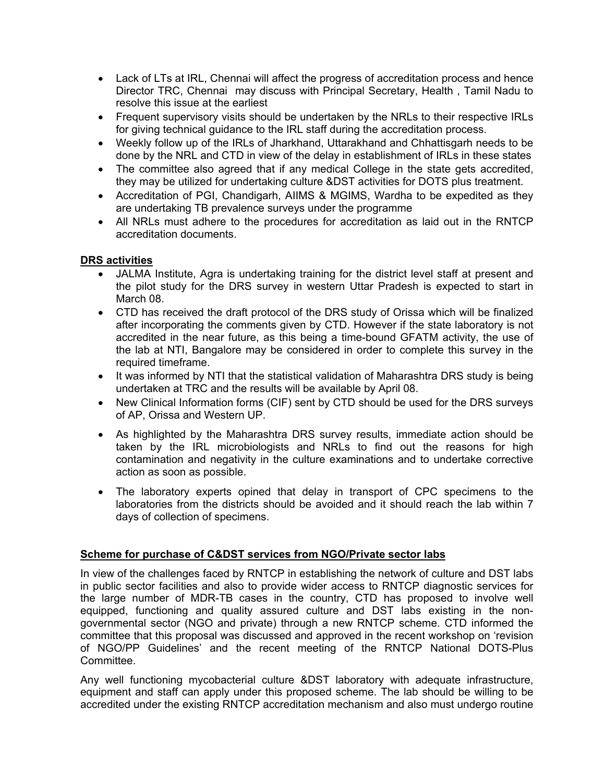- Lack of LTs at IRL, Chennai will affect the progress of accreditation process and hence Director TRC, Chennai may discuss with Principal Secretary, Health , Tamil Nadu to resolve this issue at the earliest
- Frequent supervisory visits should be undertaken by the NRLs to their respective IRLs for giving technical guidance to the IRL staff during the accreditation process.
- Weekly follow up of the IRLs of Jharkhand, Uttarakhand and Chhattisgarh needs to be done by the NRL and CTD in view of the delay in establishment of IRLs in these states
- The committee also agreed that if any medical College in the state gets accredited, they may be utilized for undertaking culture &DST activities for DOTS plus treatment.
- Accreditation of PGI, Chandigarh, AIIMS & MGIMS, Wardha to be expedited as they are undertaking TB prevalence surveys under the programme
- All NRLs must adhere to the procedures for accreditation as laid out in the RNTCP accreditation documents.

# **DRS activities**

- JALMA Institute, Agra is undertaking training for the district level staff at present and the pilot study for the DRS survey in western Uttar Pradesh is expected to start in March 08.
- CTD has received the draft protocol of the DRS study of Orissa which will be finalized after incorporating the comments given by CTD. However if the state laboratory is not accredited in the near future, as this being a time-bound GFATM activity, the use of the lab at NTI, Bangalore may be considered in order to complete this survey in the required timeframe.
- It was informed by NTI that the statistical validation of Maharashtra DRS study is being undertaken at TRC and the results will be available by April 08.
- New Clinical Information forms (CIF) sent by CTD should be used for the DRS surveys of AP, Orissa and Western UP.
- As highlighted by the Maharashtra DRS survey results, immediate action should be taken by the IRL microbiologists and NRLs to find out the reasons for high contamination and negativity in the culture examinations and to undertake corrective action as soon as possible.
- The laboratory experts opined that delay in transport of CPC specimens to the laboratories from the districts should be avoided and it should reach the lab within 7 days of collection of specimens.

# **Scheme for purchase of C&DST services from NGO/Private sector labs**

In view of the challenges faced by RNTCP in establishing the network of culture and DST labs in public sector facilities and also to provide wider access to RNTCP diagnostic services for the large number of MDR-TB cases in the country, CTD has proposed to involve well equipped, functioning and quality assured culture and DST labs existing in the nongovernmental sector (NGO and private) through a new RNTCP scheme. CTD informed the committee that this proposal was discussed and approved in the recent workshop on 'revision of NGO/PP Guidelines' and the recent meeting of the RNTCP National DOTS-Plus Committee.

Any well functioning mycobacterial culture &DST laboratory with adequate infrastructure, equipment and staff can apply under this proposed scheme. The lab should be willing to be accredited under the existing RNTCP accreditation mechanism and also must undergo routine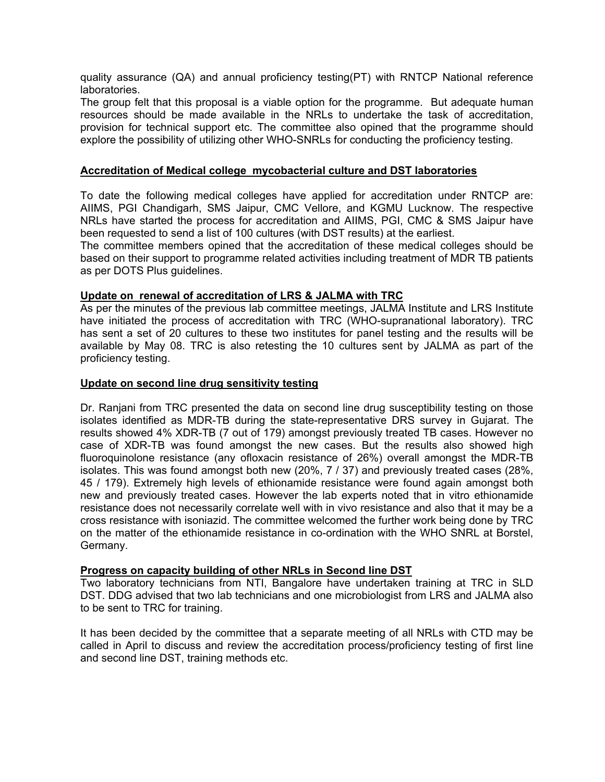quality assurance (QA) and annual proficiency testing(PT) with RNTCP National reference laboratories.

The group felt that this proposal is a viable option for the programme. But adequate human resources should be made available in the NRLs to undertake the task of accreditation, provision for technical support etc. The committee also opined that the programme should explore the possibility of utilizing other WHO-SNRLs for conducting the proficiency testing.

### **Accreditation of Medical college mycobacterial culture and DST laboratories**

To date the following medical colleges have applied for accreditation under RNTCP are: AIIMS, PGI Chandigarh, SMS Jaipur, CMC Vellore, and KGMU Lucknow. The respective NRLs have started the process for accreditation and AIIMS, PGI, CMC & SMS Jaipur have been requested to send a list of 100 cultures (with DST results) at the earliest.

The committee members opined that the accreditation of these medical colleges should be based on their support to programme related activities including treatment of MDR TB patients as per DOTS Plus guidelines.

### **Update on renewal of accreditation of LRS & JALMA with TRC**

As per the minutes of the previous lab committee meetings, JALMA Institute and LRS Institute have initiated the process of accreditation with TRC (WHO-supranational laboratory). TRC has sent a set of 20 cultures to these two institutes for panel testing and the results will be available by May 08. TRC is also retesting the 10 cultures sent by JALMA as part of the proficiency testing.

### **Update on second line drug sensitivity testing**

Dr. Ranjani from TRC presented the data on second line drug susceptibility testing on those isolates identified as MDR-TB during the state-representative DRS survey in Gujarat. The results showed 4% XDR-TB (7 out of 179) amongst previously treated TB cases. However no case of XDR-TB was found amongst the new cases. But the results also showed high fluoroquinolone resistance (any ofloxacin resistance of 26%) overall amongst the MDR-TB isolates. This was found amongst both new (20%, 7 / 37) and previously treated cases (28%, 45 / 179). Extremely high levels of ethionamide resistance were found again amongst both new and previously treated cases. However the lab experts noted that in vitro ethionamide resistance does not necessarily correlate well with in vivo resistance and also that it may be a cross resistance with isoniazid. The committee welcomed the further work being done by TRC on the matter of the ethionamide resistance in co-ordination with the WHO SNRL at Borstel, Germany.

# **Progress on capacity building of other NRLs in Second line DST**

Two laboratory technicians from NTI, Bangalore have undertaken training at TRC in SLD DST. DDG advised that two lab technicians and one microbiologist from LRS and JALMA also to be sent to TRC for training.

It has been decided by the committee that a separate meeting of all NRLs with CTD may be called in April to discuss and review the accreditation process/proficiency testing of first line and second line DST, training methods etc.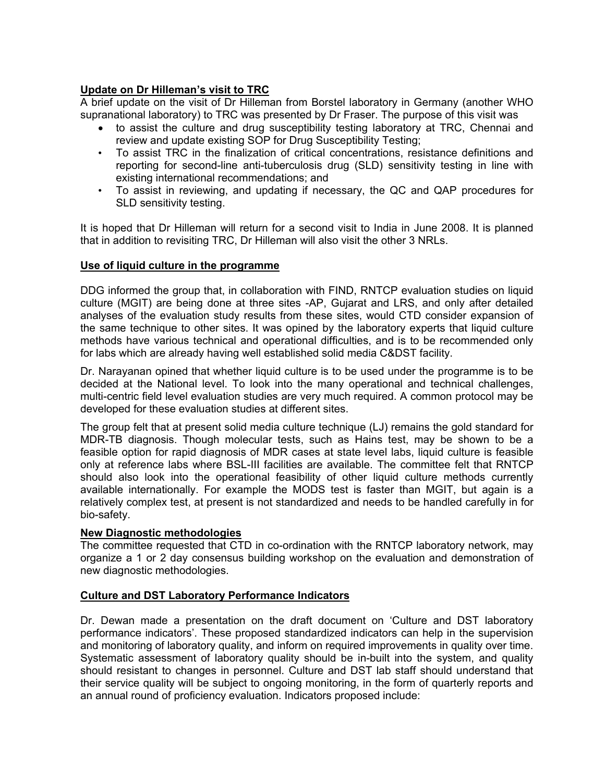# **Update on Dr Hilleman's visit to TRC**

A brief update on the visit of Dr Hilleman from Borstel laboratory in Germany (another WHO supranational laboratory) to TRC was presented by Dr Fraser. The purpose of this visit was

- to assist the culture and drug susceptibility testing laboratory at TRC, Chennai and review and update existing SOP for Drug Susceptibility Testing;
- To assist TRC in the finalization of critical concentrations, resistance definitions and reporting for second-line anti-tuberculosis drug (SLD) sensitivity testing in line with existing international recommendations; and
- To assist in reviewing, and updating if necessary, the QC and QAP procedures for SLD sensitivity testing.

It is hoped that Dr Hilleman will return for a second visit to India in June 2008. It is planned that in addition to revisiting TRC, Dr Hilleman will also visit the other 3 NRLs.

# **Use of liquid culture in the programme**

DDG informed the group that, in collaboration with FIND, RNTCP evaluation studies on liquid culture (MGIT) are being done at three sites -AP, Gujarat and LRS, and only after detailed analyses of the evaluation study results from these sites, would CTD consider expansion of the same technique to other sites. It was opined by the laboratory experts that liquid culture methods have various technical and operational difficulties, and is to be recommended only for labs which are already having well established solid media C&DST facility.

Dr. Narayanan opined that whether liquid culture is to be used under the programme is to be decided at the National level. To look into the many operational and technical challenges, multi-centric field level evaluation studies are very much required. A common protocol may be developed for these evaluation studies at different sites.

The group felt that at present solid media culture technique (LJ) remains the gold standard for MDR-TB diagnosis. Though molecular tests, such as Hains test, may be shown to be a feasible option for rapid diagnosis of MDR cases at state level labs, liquid culture is feasible only at reference labs where BSL-III facilities are available. The committee felt that RNTCP should also look into the operational feasibility of other liquid culture methods currently available internationally. For example the MODS test is faster than MGIT, but again is a relatively complex test, at present is not standardized and needs to be handled carefully in for bio-safety.

# **New Diagnostic methodologies**

The committee requested that CTD in co-ordination with the RNTCP laboratory network, may organize a 1 or 2 day consensus building workshop on the evaluation and demonstration of new diagnostic methodologies.

# **Culture and DST Laboratory Performance Indicators**

Dr. Dewan made a presentation on the draft document on 'Culture and DST laboratory performance indicators'. These proposed standardized indicators can help in the supervision and monitoring of laboratory quality, and inform on required improvements in quality over time. Systematic assessment of laboratory quality should be in-built into the system, and quality should resistant to changes in personnel. Culture and DST lab staff should understand that their service quality will be subject to ongoing monitoring, in the form of quarterly reports and an annual round of proficiency evaluation. Indicators proposed include: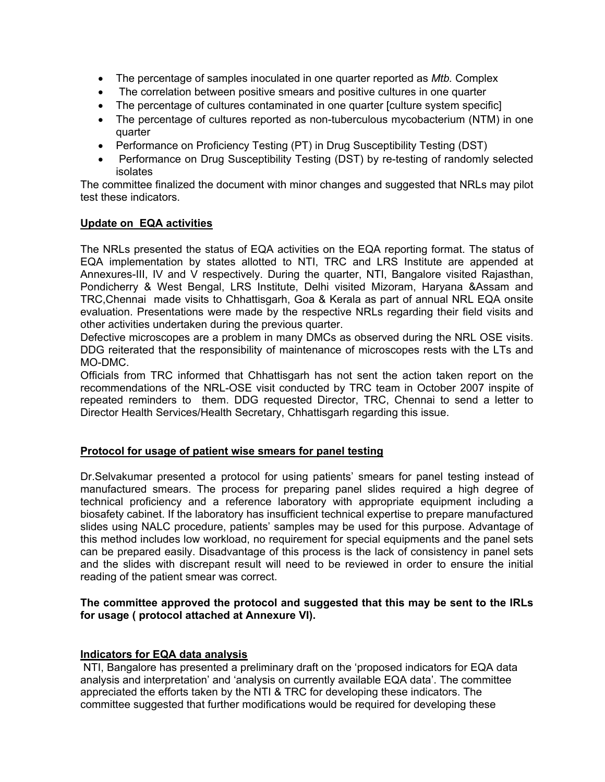- The percentage of samples inoculated in one quarter reported as *Mtb.* Complex
- The correlation between positive smears and positive cultures in one quarter
- The percentage of cultures contaminated in one quarter [culture system specific]
- The percentage of cultures reported as non-tuberculous mycobacterium (NTM) in one quarter
- Performance on Proficiency Testing (PT) in Drug Susceptibility Testing (DST)
- Performance on Drug Susceptibility Testing (DST) by re-testing of randomly selected isolates

The committee finalized the document with minor changes and suggested that NRLs may pilot test these indicators.

# **Update on EQA activities**

The NRLs presented the status of EQA activities on the EQA reporting format. The status of EQA implementation by states allotted to NTI, TRC and LRS Institute are appended at Annexures-III, IV and V respectively. During the quarter, NTI, Bangalore visited Rajasthan, Pondicherry & West Bengal, LRS Institute, Delhi visited Mizoram, Haryana &Assam and TRC,Chennai made visits to Chhattisgarh, Goa & Kerala as part of annual NRL EQA onsite evaluation. Presentations were made by the respective NRLs regarding their field visits and other activities undertaken during the previous quarter.

Defective microscopes are a problem in many DMCs as observed during the NRL OSE visits. DDG reiterated that the responsibility of maintenance of microscopes rests with the LTs and MO-DMC.

Officials from TRC informed that Chhattisgarh has not sent the action taken report on the recommendations of the NRL-OSE visit conducted by TRC team in October 2007 inspite of repeated reminders to them. DDG requested Director, TRC, Chennai to send a letter to Director Health Services/Health Secretary, Chhattisgarh regarding this issue.

# **Protocol for usage of patient wise smears for panel testing**

Dr.Selvakumar presented a protocol for using patients' smears for panel testing instead of manufactured smears. The process for preparing panel slides required a high degree of technical proficiency and a reference laboratory with appropriate equipment including a biosafety cabinet. If the laboratory has insufficient technical expertise to prepare manufactured slides using NALC procedure, patients' samples may be used for this purpose. Advantage of this method includes low workload, no requirement for special equipments and the panel sets can be prepared easily. Disadvantage of this process is the lack of consistency in panel sets and the slides with discrepant result will need to be reviewed in order to ensure the initial reading of the patient smear was correct.

### **The committee approved the protocol and suggested that this may be sent to the IRLs for usage ( protocol attached at Annexure VI).**

# **Indicators for EQA data analysis**

 NTI, Bangalore has presented a preliminary draft on the 'proposed indicators for EQA data analysis and interpretation' and 'analysis on currently available EQA data'. The committee appreciated the efforts taken by the NTI & TRC for developing these indicators. The committee suggested that further modifications would be required for developing these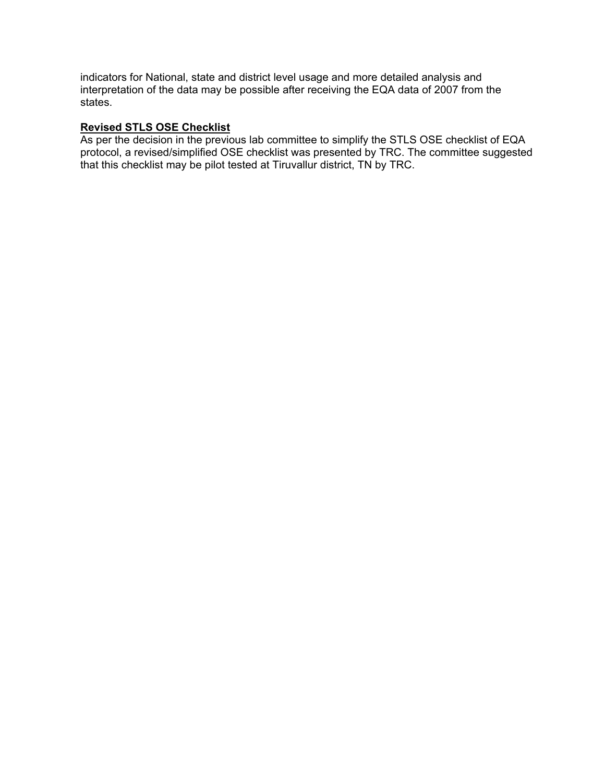indicators for National, state and district level usage and more detailed analysis and interpretation of the data may be possible after receiving the EQA data of 2007 from the states.

# **Revised STLS OSE Checklist**

As per the decision in the previous lab committee to simplify the STLS OSE checklist of EQA protocol, a revised/simplified OSE checklist was presented by TRC. The committee suggested that this checklist may be pilot tested at Tiruvallur district, TN by TRC.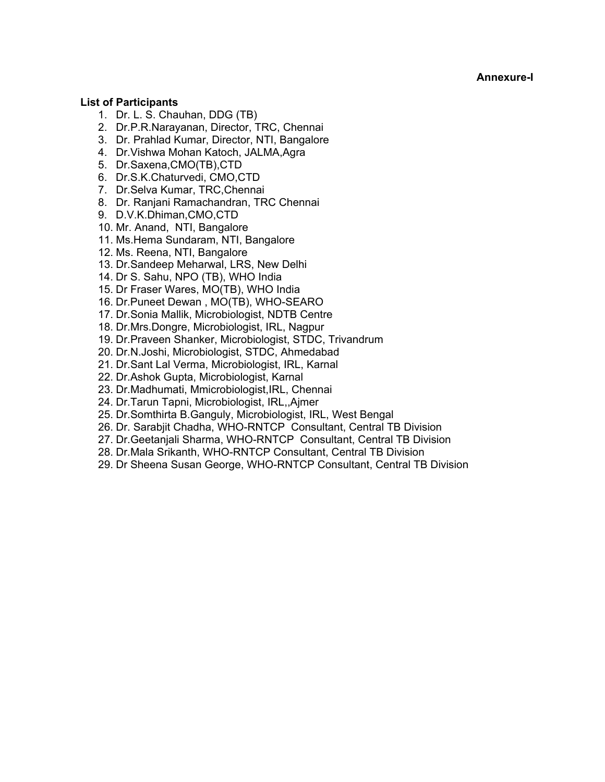**Annexure-I** 

### **List of Participants**

- 1. Dr. L. S. Chauhan, DDG (TB)
- 2. Dr.P.R.Narayanan, Director, TRC, Chennai
- 3. Dr. Prahlad Kumar, Director, NTI, Bangalore
- 4. Dr.Vishwa Mohan Katoch, JALMA,Agra
- 5. Dr.Saxena,CMO(TB),CTD
- 6. Dr.S.K.Chaturvedi, CMO,CTD
- 7. Dr.Selva Kumar, TRC,Chennai
- 8. Dr. Ranjani Ramachandran, TRC Chennai
- 9. D.V.K.Dhiman,CMO,CTD
- 10. Mr. Anand, NTI, Bangalore
- 11. Ms.Hema Sundaram, NTI, Bangalore
- 12. Ms. Reena, NTI, Bangalore
- 13. Dr.Sandeep Meharwal, LRS, New Delhi
- 14. Dr S. Sahu, NPO (TB), WHO India
- 15. Dr Fraser Wares, MO(TB), WHO India
- 16. Dr.Puneet Dewan , MO(TB), WHO-SEARO
- 17. Dr.Sonia Mallik, Microbiologist, NDTB Centre
- 18. Dr.Mrs.Dongre, Microbiologist, IRL, Nagpur
- 19. Dr.Praveen Shanker, Microbiologist, STDC, Trivandrum
- 20. Dr.N.Joshi, Microbiologist, STDC, Ahmedabad
- 21. Dr.Sant Lal Verma, Microbiologist, IRL, Karnal
- 22. Dr.Ashok Gupta, Microbiologist, Karnal
- 23. Dr.Madhumati, Mmicrobiologist,IRL, Chennai
- 24. Dr.Tarun Tapni, Microbiologist, IRL,,Ajmer
- 25. Dr.Somthirta B.Ganguly, Microbiologist, IRL, West Bengal
- 26. Dr. Sarabjit Chadha, WHO-RNTCP Consultant, Central TB Division
- 27. Dr.Geetanjali Sharma, WHO-RNTCP Consultant, Central TB Division
- 28. Dr.Mala Srikanth, WHO-RNTCP Consultant, Central TB Division
- 29. Dr Sheena Susan George, WHO-RNTCP Consultant, Central TB Division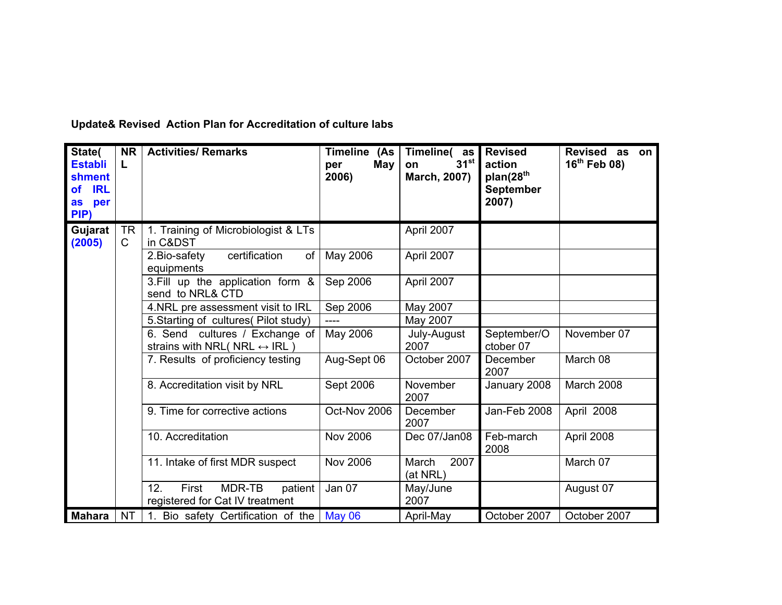| State(<br><b>Establi</b><br>shment<br><b>IRL</b><br><b>of</b><br>per<br>as<br>PIP) | <b>NR</b><br>L            | <b>Activities/ Remarks</b>                                                     | Timeline (As<br>May<br>per<br>2006) | Timeline(as<br>$31^{st}$<br>on<br>March, 2007) | <b>Revised</b><br>action<br>plan(28 <sup>th</sup><br><b>September</b><br>2007) | Revised as on<br>$16^{th}$ Feb 08) |  |  |
|------------------------------------------------------------------------------------|---------------------------|--------------------------------------------------------------------------------|-------------------------------------|------------------------------------------------|--------------------------------------------------------------------------------|------------------------------------|--|--|
| Gujarat<br>(2005)                                                                  | <b>TR</b><br>$\mathsf{C}$ | 1. Training of Microbiologist & LTs<br>in C&DST                                |                                     | April 2007                                     |                                                                                |                                    |  |  |
|                                                                                    |                           | certification<br>of<br>2. Bio-safety<br>equipments                             | May 2006                            | April 2007                                     |                                                                                |                                    |  |  |
|                                                                                    |                           | 3. Fill up the application form &<br>send to NRL& CTD                          | Sep 2006                            | April 2007                                     |                                                                                |                                    |  |  |
|                                                                                    |                           | 4.NRL pre assessment visit to IRL                                              | Sep 2006                            | May 2007                                       |                                                                                |                                    |  |  |
|                                                                                    |                           | 5. Starting of cultures (Pilot study)                                          | ----                                | May 2007                                       |                                                                                |                                    |  |  |
|                                                                                    |                           | 6. Send cultures / Exchange of<br>strains with NRL( NRL $\leftrightarrow$ IRL) | May 2006                            | July-August<br>2007                            | September/O<br>ctober 07                                                       | November 07                        |  |  |
|                                                                                    |                           | 7. Results of proficiency testing                                              | Aug-Sept 06                         | October 2007                                   | December<br>2007                                                               | March 08                           |  |  |
|                                                                                    |                           | 8. Accreditation visit by NRL                                                  | Sept 2006                           | November<br>2007                               | January 2008                                                                   | March 2008                         |  |  |
|                                                                                    |                           | 9. Time for corrective actions                                                 | Oct-Nov 2006                        | December<br>2007                               | Jan-Feb 2008                                                                   | April 2008                         |  |  |
|                                                                                    |                           | 10. Accreditation                                                              | <b>Nov 2006</b>                     | Dec 07/Jan08                                   | Feb-march<br>2008                                                              | April 2008                         |  |  |
|                                                                                    |                           | 11. Intake of first MDR suspect                                                | <b>Nov 2006</b>                     | 2007<br>March<br>(at NRL)                      |                                                                                | March 07                           |  |  |
|                                                                                    |                           | 12.<br>First<br>MDR-TB<br>patient<br>registered for Cat IV treatment           | Jan 07                              | May/June<br>2007                               |                                                                                | August 07                          |  |  |
| <b>Mahara</b>                                                                      | NT                        | 1. Bio safety Certification of the                                             | <b>May 06</b>                       | April-May                                      | October 2007                                                                   | October 2007                       |  |  |

**Update& Revised Action Plan for Accreditation of culture labs**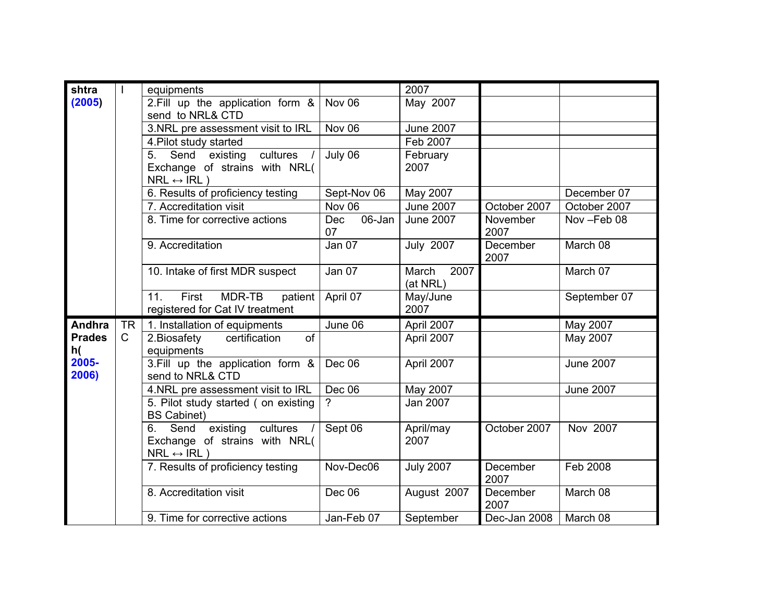| shtra               |              | equipments                                                                                      |                            | 2007                      |                  |                  |  |  |
|---------------------|--------------|-------------------------------------------------------------------------------------------------|----------------------------|---------------------------|------------------|------------------|--|--|
| (2005)              |              | 2. Fill up the application form &                                                               | Nov $06$                   | May 2007                  |                  |                  |  |  |
|                     |              | send to NRL& CTD                                                                                |                            |                           |                  |                  |  |  |
|                     |              | 3.NRL pre assessment visit to IRL                                                               | Nov 06                     | <b>June 2007</b>          |                  |                  |  |  |
|                     |              | 4. Pilot study started                                                                          |                            | Feb 2007                  |                  |                  |  |  |
|                     |              | cultures<br>Send<br>existing<br>5.                                                              | July 06                    | February                  |                  |                  |  |  |
|                     |              | Exchange of strains with NRL(                                                                   |                            | 2007                      |                  |                  |  |  |
|                     |              | $NRL \leftrightarrow IRL$ )                                                                     |                            |                           |                  |                  |  |  |
|                     |              | 6. Results of proficiency testing                                                               | Sept-Nov 06                | May 2007                  |                  | December 07      |  |  |
|                     |              | 7. Accreditation visit                                                                          | Nov 06                     | <b>June 2007</b>          | October 2007     | October 2007     |  |  |
|                     |              | 8. Time for corrective actions                                                                  | 06-Jan<br><b>Dec</b><br>07 | <b>June 2007</b>          | November<br>2007 | Nov-Feb 08       |  |  |
|                     |              | 9. Accreditation                                                                                | Jan 07                     | <b>July 2007</b>          | December<br>2007 | March 08         |  |  |
|                     |              | 10. Intake of first MDR suspect                                                                 | <b>Jan 07</b>              | 2007<br>March<br>(at NRL) |                  | March 07         |  |  |
|                     |              | First<br>MDR-TB<br>11.<br>patient<br>registered for Cat IV treatment                            | April 07                   | May/June<br>2007          |                  | September 07     |  |  |
| <b>Andhra</b>       | <b>TR</b>    | 1. Installation of equipments                                                                   | June 06                    | April 2007                |                  | May 2007         |  |  |
| <b>Prades</b><br>h( | $\mathsf{C}$ | 2. Biosafety<br>certification<br>of<br>equipments                                               |                            | April 2007                |                  | May 2007         |  |  |
| 2005-<br>2006)      |              | 3. Fill up the application form &<br>send to NRL& CTD                                           | Dec 06                     | April 2007                |                  | <b>June 2007</b> |  |  |
|                     |              | 4.NRL pre assessment visit to IRL                                                               | Dec 06                     | May 2007                  |                  | <b>June 2007</b> |  |  |
|                     |              | 5. Pilot study started (on existing<br><b>BS Cabinet)</b>                                       | ?                          | Jan 2007                  |                  |                  |  |  |
|                     |              | 6. Send<br>existing<br>cultures<br>Exchange of strains with NRL(<br>$NRL \leftrightarrow IRL$ ) | Sept 06                    | April/may<br>2007         | October 2007     | Nov 2007         |  |  |
|                     |              | 7. Results of proficiency testing                                                               | Nov-Dec06                  | <b>July 2007</b>          | December<br>2007 | Feb 2008         |  |  |
|                     |              | 8. Accreditation visit                                                                          | Dec 06                     | August 2007               | December<br>2007 | March 08         |  |  |
|                     |              | 9. Time for corrective actions                                                                  | Jan-Feb 07                 | September                 | Dec-Jan 2008     | March 08         |  |  |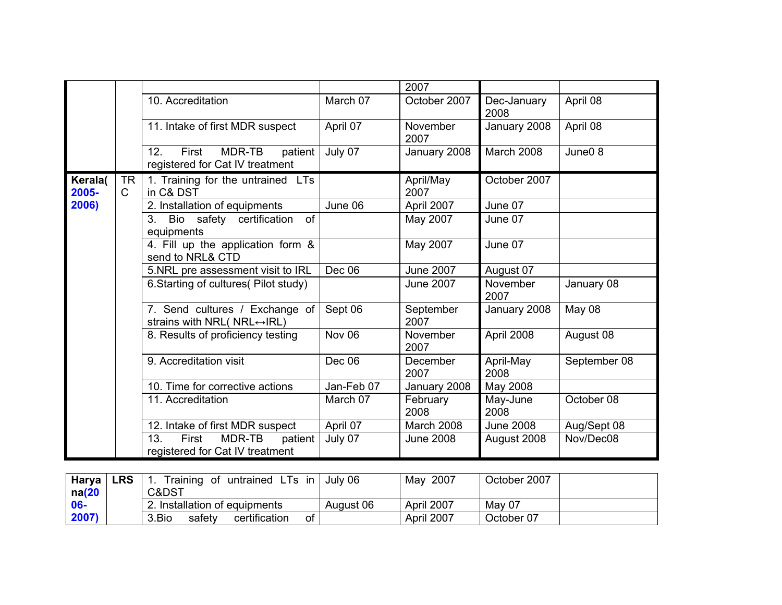|                  |                    |                                                                                 |            | 2007                              |                     |                     |
|------------------|--------------------|---------------------------------------------------------------------------------|------------|-----------------------------------|---------------------|---------------------|
|                  |                    | 10. Accreditation                                                               | March 07   | October 2007                      | Dec-January<br>2008 | April 08            |
|                  |                    | 11. Intake of first MDR suspect                                                 | April 07   | November<br>2007                  | January 2008        | April 08            |
|                  |                    | MDR-TB<br>12.<br>First<br>patient<br>registered for Cat IV treatment            | July 07    | January 2008<br><b>March 2008</b> |                     | June <sub>0</sub> 8 |
| Kerala(<br>2005- | TR<br>$\mathsf{C}$ | 1. Training for the untrained LTs<br>in C& DST                                  |            | April/May<br>2007                 | October 2007        |                     |
| 2006)            |                    | 2. Installation of equipments                                                   | June 06    | April 2007                        | June 07             |                     |
|                  |                    | of<br>Bio safety certification<br>3.<br>equipments                              |            | May 2007                          |                     |                     |
|                  |                    | 4. Fill up the application form &<br>send to NRL& CTD                           |            | May 2007                          | June 07             |                     |
|                  |                    | 5.NRL pre assessment visit to IRL                                               | Dec 06     | <b>June 2007</b>                  | August 07           |                     |
|                  |                    | 6. Starting of cultures (Pilot study)                                           |            | <b>June 2007</b>                  | November<br>2007    | January 08          |
|                  |                    | 7. Send cultures / Exchange of<br>strains with NRL( $NRL \leftrightarrow IRL$ ) | Sept 06    | September<br>2007                 | January 2008        | May 08              |
|                  |                    | 8. Results of proficiency testing                                               | Nov 06     | November<br>2007                  | April 2008          | August 08           |
|                  |                    | 9. Accreditation visit                                                          | Dec 06     | December<br>2007                  | April-May<br>2008   | September 08        |
|                  |                    | 10. Time for corrective actions                                                 | Jan-Feb 07 | January 2008                      | May 2008            |                     |
|                  |                    | 11. Accreditation                                                               | March 07   | February<br>2008                  | May-June<br>2008    | October 08          |
|                  |                    | 12. Intake of first MDR suspect                                                 | April 07   | March 2008                        | <b>June 2008</b>    | Aug/Sept 08         |
|                  |                    | 13.<br>First<br>MDR-TB<br>patient<br>registered for Cat IV treatment            | July 07    | <b>June 2008</b>                  | August 2008         | Nov/Dec08           |

| Harya  | <b>LRS</b> | Training of untrained LTs in           | July 06   | 2007<br>Mav | October 2007 |
|--------|------------|----------------------------------------|-----------|-------------|--------------|
| na(20) |            | C&DST                                  |           |             |              |
| $06-$  |            | 2. Installation of equipments          | August 06 | April 2007  | May 07       |
| 2007)  |            | 3.Bio<br>οf<br>certification<br>safety |           | April 2007  | October 07   |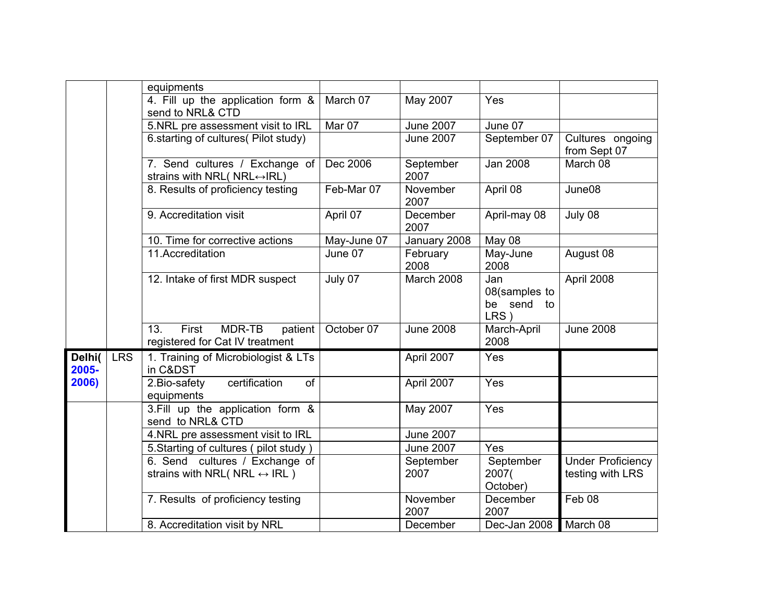|                 |            | equipments                                                                     |             |                   |                                            |                                              |
|-----------------|------------|--------------------------------------------------------------------------------|-------------|-------------------|--------------------------------------------|----------------------------------------------|
|                 |            | 4. Fill up the application form &<br>send to NRL& CTD                          | March 07    | May 2007          | Yes                                        |                                              |
|                 |            | 5.NRL pre assessment visit to IRL                                              | Mar 07      | <b>June 2007</b>  | June 07                                    |                                              |
|                 |            | 6. starting of cultures (Pilot study)                                          |             | <b>June 2007</b>  | September 07                               | Cultures ongoing<br>from Sept 07             |
|                 |            | 7. Send cultures / Exchange of<br>strains with NRL( NRL↔ IRL)                  | Dec 2006    | September<br>2007 | <b>Jan 2008</b>                            | March 08                                     |
|                 |            | 8. Results of proficiency testing                                              | Feb-Mar 07  | November<br>2007  | April 08                                   | June08                                       |
|                 |            | 9. Accreditation visit                                                         | April 07    | December<br>2007  | April-may 08                               | July 08                                      |
|                 |            | 10. Time for corrective actions                                                | May-June 07 | January 2008      | May 08                                     |                                              |
|                 |            | 11.Accreditation                                                               | June 07     | February<br>2008  | May-June<br>2008                           | August 08                                    |
|                 |            | 12. Intake of first MDR suspect                                                | July 07     | March 2008        | Jan<br>08(samples to<br>be send to<br>LRS) | April 2008                                   |
|                 |            | First<br>MDR-TB<br>patient<br>13.<br>registered for Cat IV treatment           | October 07  | <b>June 2008</b>  | March-April<br>2008                        | <b>June 2008</b>                             |
| Delhi(<br>2005- | <b>LRS</b> | 1. Training of Microbiologist & LTs<br>in C&DST                                |             | April 2007        | Yes                                        |                                              |
| 2006)           |            | 2. Bio-safety<br>certification<br>of<br>equipments                             |             | April 2007        | Yes                                        |                                              |
|                 |            | 3. Fill up the application form &<br>send to NRL& CTD                          |             | May 2007          | Yes                                        |                                              |
|                 |            | 4.NRL pre assessment visit to IRL                                              |             | <b>June 2007</b>  |                                            |                                              |
|                 |            | 5. Starting of cultures (pilot study)                                          |             | <b>June 2007</b>  | Yes                                        |                                              |
|                 |            | 6. Send cultures / Exchange of<br>strains with NRL( NRL $\leftrightarrow$ IRL) |             | September<br>2007 | September<br>2007(<br>October)             | <b>Under Proficiency</b><br>testing with LRS |
|                 |            | 7. Results of proficiency testing                                              |             | November<br>2007  | December<br>2007                           | Feb 08                                       |
|                 |            | 8. Accreditation visit by NRL                                                  |             | December          | Dec-Jan 2008                               | March 08                                     |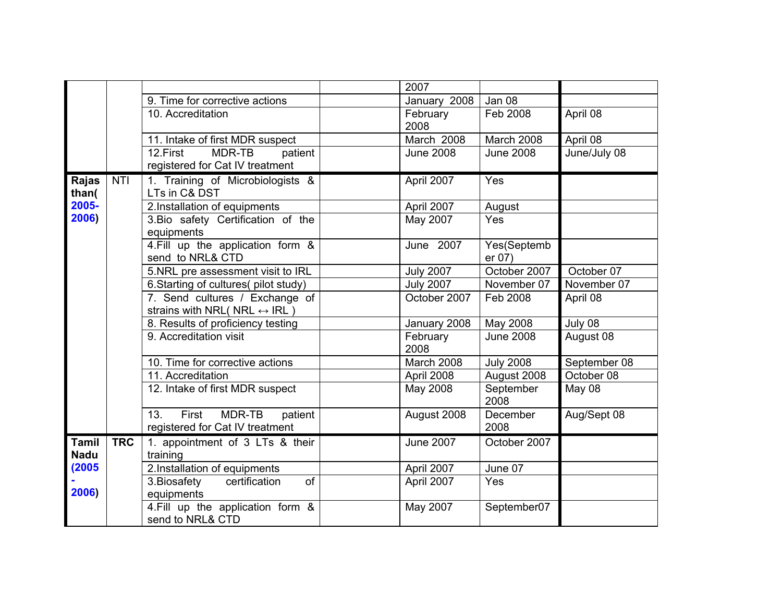|              |            |                                                  | 2007             |                              |              |  |
|--------------|------------|--------------------------------------------------|------------------|------------------------------|--------------|--|
|              |            | 9. Time for corrective actions                   | January 2008     | Jan 08                       |              |  |
|              |            | 10. Accreditation                                | February         | Feb 2008                     | April 08     |  |
|              |            |                                                  | 2008             |                              |              |  |
|              |            | 11. Intake of first MDR suspect                  | March 2008       | March 2008                   | April 08     |  |
|              |            | MDR-TB<br>12.First<br>patient                    | <b>June 2008</b> | <b>June 2008</b>             | June/July 08 |  |
|              |            | registered for Cat IV treatment                  |                  |                              |              |  |
| Rajas        | <b>NTI</b> | 1. Training of Microbiologists &                 | April 2007       | Yes                          |              |  |
| than(        |            | LTs in C& DST                                    |                  | August                       |              |  |
| 2005-        |            | 2.Installation of equipments                     | April 2007       |                              |              |  |
| 2006)        |            | 3. Bio safety Certification of the<br>equipments | May 2007         | Yes                          |              |  |
|              |            | 4. Fill up the application form &                | June 2007        | Yes(Septemb                  |              |  |
|              |            | send to NRL& CTD                                 |                  | er 07)                       |              |  |
|              |            | 5.NRL pre assessment visit to IRL                | <b>July 2007</b> | October 2007                 | October 07   |  |
|              |            | 6. Starting of cultures (pilot study)            | <b>July 2007</b> | November 07                  | November 07  |  |
|              |            | 7. Send cultures / Exchange of                   | October 2007     | Feb 2008                     | April 08     |  |
|              |            | strains with NRL( NRL $\leftrightarrow$ IRL)     |                  |                              |              |  |
|              |            | 8. Results of proficiency testing                | January 2008     | May 2008<br><b>June 2008</b> | July 08      |  |
|              |            | 9. Accreditation visit                           | February<br>2008 | August 08                    |              |  |
|              |            | 10. Time for corrective actions                  | March 2008       | September 08                 |              |  |
|              |            | 11. Accreditation                                | April 2008       | August 2008                  | October 08   |  |
|              |            | 12. Intake of first MDR suspect                  | May 2008         | September<br>2008            | May 08       |  |
|              |            | First<br>MDR-TB<br>13.<br>patient                | August 2008      | December                     | Aug/Sept 08  |  |
|              |            | registered for Cat IV treatment                  |                  | 2008                         |              |  |
| <b>Tamil</b> | <b>TRC</b> | 1. appointment of 3 LTs & their                  | <b>June 2007</b> | October 2007                 |              |  |
| <b>Nadu</b>  |            | training                                         |                  |                              |              |  |
| (2005)       |            | 2.Installation of equipments                     | April 2007       | June 07                      |              |  |
|              |            | certification<br>of<br>3. Biosafety              | April 2007       | Yes                          |              |  |
| 2006)        |            | equipments                                       |                  |                              |              |  |
|              |            | 4. Fill up the application form &                | May 2007         | September07                  |              |  |
|              |            | send to NRL& CTD                                 |                  |                              |              |  |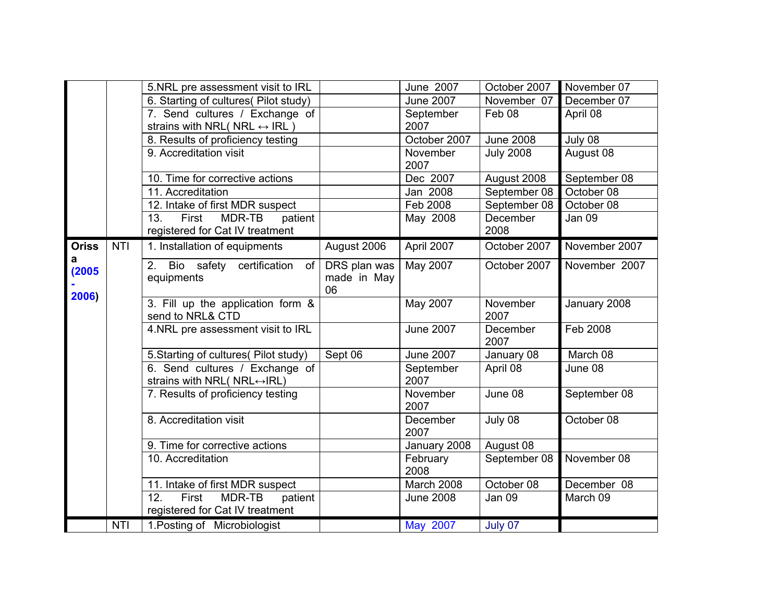|              |            | 5.NRL pre assessment visit to IRL                                               |                                   | June 2007         | October 2007      | November 07   |
|--------------|------------|---------------------------------------------------------------------------------|-----------------------------------|-------------------|-------------------|---------------|
|              |            | 6. Starting of cultures (Pilot study)                                           |                                   | <b>June 2007</b>  | November 07       | December 07   |
|              |            | 7. Send cultures / Exchange of<br>strains with NRL( NRL $\leftrightarrow$ IRL)  |                                   | September<br>2007 | Feb <sub>08</sub> | April 08      |
|              |            | 8. Results of proficiency testing                                               |                                   | October 2007      | <b>June 2008</b>  | July 08       |
|              |            | 9. Accreditation visit                                                          |                                   | November<br>2007  | <b>July 2008</b>  | August 08     |
|              |            | 10. Time for corrective actions                                                 |                                   | Dec 2007          | September 08      |               |
|              |            | 11. Accreditation                                                               |                                   | Jan 2008          | September 08      | October 08    |
|              |            | 12. Intake of first MDR suspect                                                 |                                   | Feb 2008          | September 08      | October 08    |
|              |            | 13.<br>First<br>MDR-TB<br>patient<br>registered for Cat IV treatment            |                                   | May 2008          | December<br>2008  | Jan 09        |
| <b>Oriss</b> | <b>NTI</b> | 1. Installation of equipments                                                   | August 2006                       | April 2007        | October 2007      | November 2007 |
| а<br>(2005)  |            | 2 <sub>1</sub><br>Bio safety certification<br>of<br>equipments                  | DRS plan was<br>made in May<br>06 | May 2007          | October 2007      | November 2007 |
| 2006)        |            | 3. Fill up the application form &<br>send to NRL& CTD                           |                                   | May 2007          | November<br>2007  | January 2008  |
|              |            | 4.NRL pre assessment visit to IRL                                               |                                   | <b>June 2007</b>  | December<br>2007  | Feb 2008      |
|              |            | 5. Starting of cultures (Pilot study)                                           | Sept 06                           | <b>June 2007</b>  | January 08        | March 08      |
|              |            | 6. Send cultures / Exchange of<br>strains with NRL( $NRL \leftrightarrow RLL$ ) |                                   | September<br>2007 | April 08          | June 08       |
|              |            | 7. Results of proficiency testing                                               |                                   | November<br>2007  | June 08           | September 08  |
|              |            | 8. Accreditation visit                                                          |                                   | December<br>2007  | July 08           | October 08    |
|              |            | 9. Time for corrective actions                                                  |                                   | January 2008      | August 08         |               |
|              |            | 10. Accreditation                                                               |                                   | February<br>2008  | September 08      | November 08   |
|              |            | 11. Intake of first MDR suspect                                                 |                                   | March 2008        | October 08        | December 08   |
|              |            | 12.<br>First<br>MDR-TB<br>patient<br>registered for Cat IV treatment            |                                   | <b>June 2008</b>  | <b>Jan 09</b>     | March 09      |
|              | <b>NTI</b> | 1. Posting of Microbiologist                                                    |                                   | May 2007          | July 07           |               |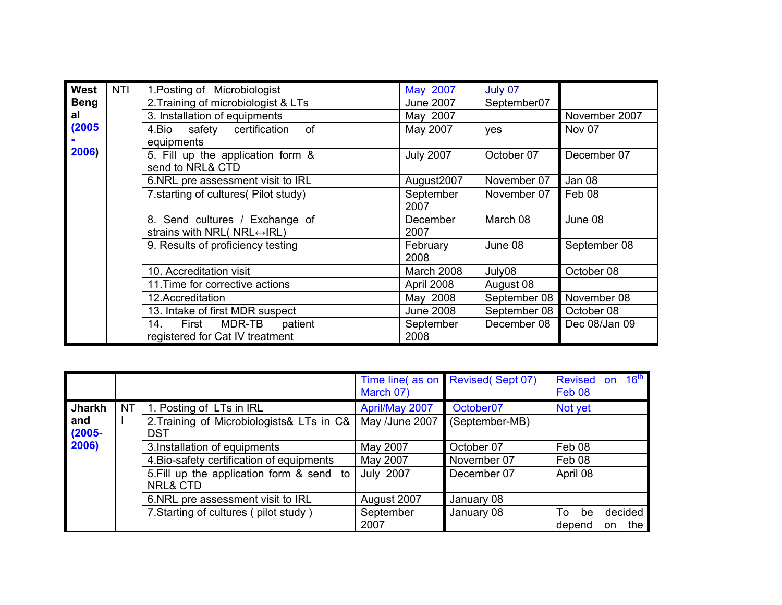| West        | NTI | 1. Posting of Microbiologist                                                    |  | May 2007                  | July 07       |               |  |  |
|-------------|-----|---------------------------------------------------------------------------------|--|---------------------------|---------------|---------------|--|--|
| <b>Beng</b> |     | 2. Training of microbiologist & LTs                                             |  | <b>June 2007</b>          | September07   |               |  |  |
| al          |     | 3. Installation of equipments                                                   |  | May 2007                  |               | November 2007 |  |  |
| (2005)      |     | of<br>safety certification<br>4.Bio                                             |  | May 2007<br>Nov 07<br>yes |               |               |  |  |
|             |     | equipments                                                                      |  |                           |               |               |  |  |
| 2006)       |     | 5. Fill up the application form &<br>send to NRL& CTD                           |  | December 07               |               |               |  |  |
|             |     | 6.NRL pre assessment visit to IRL                                               |  | August2007                | November 07   | Jan 08        |  |  |
|             |     | 7. starting of cultures (Pilot study)                                           |  | September<br>2007         | November 07   | Feb 08        |  |  |
|             |     | 8. Send cultures / Exchange of<br>strains with NRL( $NRL \leftrightarrow RLL$ ) |  | December<br>2007          | June 08       |               |  |  |
|             |     | 9. Results of proficiency testing                                               |  | February<br>2008          | June 08       | September 08  |  |  |
|             |     | 10. Accreditation visit                                                         |  | March 2008                | July08        | October 08    |  |  |
|             |     | 11. Time for corrective actions                                                 |  | April 2008                | August 08     |               |  |  |
|             |     | 12.Accreditation                                                                |  | May 2008                  | September 08  | November 08   |  |  |
|             |     | 13. Intake of first MDR suspect                                                 |  | <b>June 2008</b>          | September 08  | October 08    |  |  |
|             |     | 14.<br>MDR-TB patient<br>First<br>registered for Cat IV treatment               |  | September<br>2008         | Dec 08/Jan 09 |               |  |  |

|                            |     |                                                                                                                                                | Time line(as on<br>March 07)             | <b>Revised (Sept 07)</b>                 | <b>Revised</b><br>Feb <sub>08</sub> | 16 <sup>th</sup><br><b>on</b> |
|----------------------------|-----|------------------------------------------------------------------------------------------------------------------------------------------------|------------------------------------------|------------------------------------------|-------------------------------------|-------------------------------|
| Jharkh<br>and<br>$(2005 -$ | NT. | 1. Posting of LTs in IRL<br>2. Training of Microbiologists & LTs in C&<br><b>DST</b>                                                           | April/May 2007<br>May /June 2007         | October <sub>07</sub><br>(September-MB)  | Not yet                             |                               |
| 2006)                      |     | 3. Installation of equipments<br>4. Bio-safety certification of equipments<br>5. Fill up the application form & send to<br><b>NRL&amp; CTD</b> | May 2007<br>May 2007<br><b>July 2007</b> | October 07<br>November 07<br>December 07 | Feb 08<br>Feb 08<br>April 08        |                               |
|                            |     | 6. NRL pre assessment visit to IRL<br>7. Starting of cultures (pilot study)                                                                    | August 2007<br>September<br>2007         | January 08<br>January 08                 | To<br>be<br>depend                  | decided<br>the<br>on          |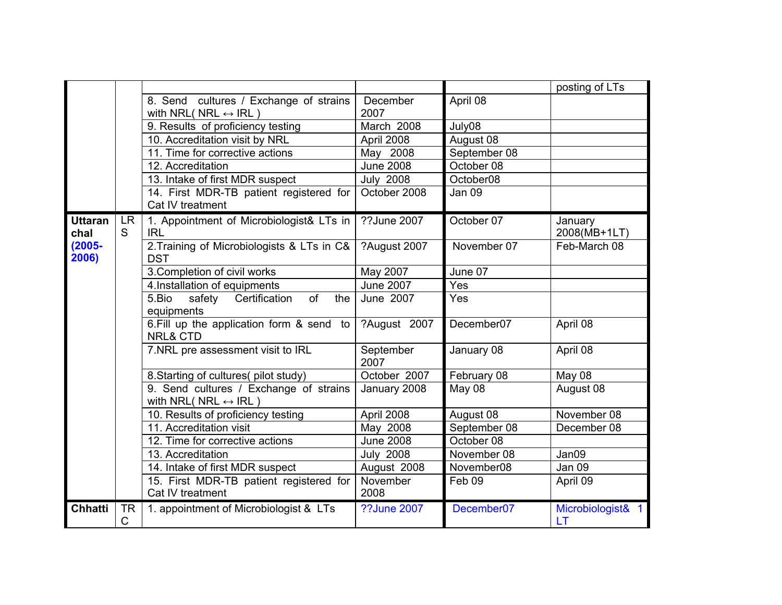|                        |                |                                                                                 |                    |              | posting of LTs          |
|------------------------|----------------|---------------------------------------------------------------------------------|--------------------|--------------|-------------------------|
|                        |                | 8. Send cultures / Exchange of strains<br>with NRL( NRL $\leftrightarrow$ IRL)  | December<br>2007   | April 08     |                         |
|                        |                | 9. Results of proficiency testing                                               | March 2008         | July08       |                         |
|                        |                | 10. Accreditation visit by NRL                                                  | April 2008         | August 08    |                         |
|                        |                | 11. Time for corrective actions                                                 | May 2008           | September 08 |                         |
|                        |                | 12. Accreditation                                                               | <b>June 2008</b>   | October 08   |                         |
|                        |                | 13. Intake of first MDR suspect                                                 | <b>July 2008</b>   | October08    |                         |
|                        |                | 14. First MDR-TB patient registered for<br>Cat IV treatment                     | October 2008       | Jan 09       |                         |
| <b>Uttaran</b><br>chal | <b>LR</b><br>S | 1. Appointment of Microbiologist& LTs in<br><b>IRL</b>                          | ??June 2007        | October 07   | January<br>2008(MB+1LT) |
| $(2005 -$<br>2006)     |                | 2. Training of Microbiologists & LTs in C&<br><b>DST</b>                        | ?August 2007       | November 07  | Feb-March 08            |
|                        |                | 3. Completion of civil works                                                    | May 2007           |              |                         |
|                        |                | 4. Installation of equipments                                                   | <b>June 2007</b>   | Yes          |                         |
|                        |                | of<br>5.Bio<br>safety<br>Certification<br>the<br>equipments                     | June 2007          | Yes          |                         |
|                        |                | 6. Fill up the application form & send to<br><b>NRL&amp; CTD</b>                | ?August 2007       | December07   | April 08                |
|                        |                | 7.NRL pre assessment visit to IRL                                               | September<br>2007  | January 08   | April 08                |
|                        |                | 8. Starting of cultures(pilot study)                                            | October 2007       | February 08  | May 08                  |
|                        |                | 9. Send cultures / Exchange of strains<br>with NRL( $NRL \leftrightarrow IRL$ ) | January 2008       | May 08       | August 08               |
|                        |                | 10. Results of proficiency testing                                              | April 2008         | August 08    | November 08             |
|                        |                | 11. Accreditation visit                                                         | May 2008           | September 08 | December 08             |
|                        |                | 12. Time for corrective actions                                                 | <b>June 2008</b>   | October 08   |                         |
|                        |                | 13. Accreditation                                                               | <b>July 2008</b>   | November 08  | Jan09                   |
|                        |                | 14. Intake of first MDR suspect                                                 | August 2008        | November08   | <b>Jan 09</b>           |
|                        |                | 15. First MDR-TB patient registered for<br>Cat IV treatment                     | November<br>2008   | Feb 09       | April 09                |
| <b>Chhatti</b>         | <b>TR</b><br>C | 1. appointment of Microbiologist & LTs                                          | <b>??June 2007</b> | December07   | Microbiologist& 1<br>LT |
|                        |                |                                                                                 |                    |              |                         |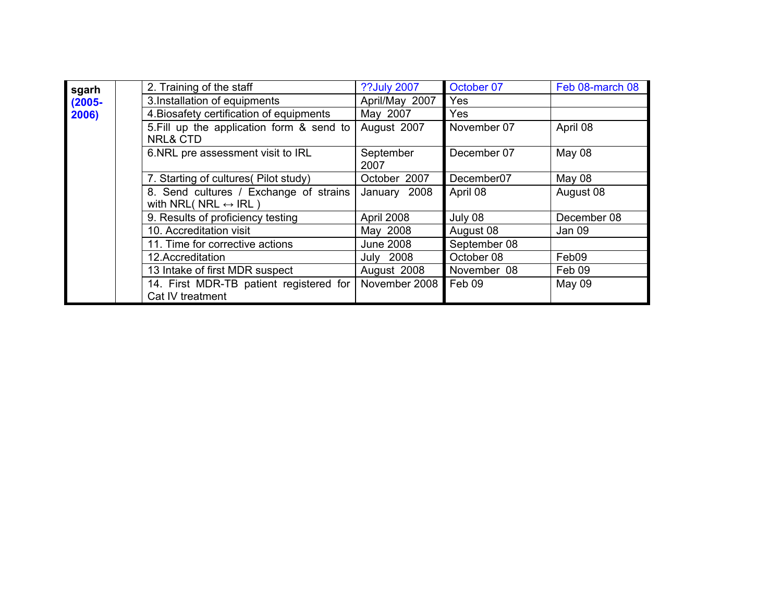| sgarh     | 2. Training of the staff                                                       | ??July 2007       | October 07   | Feb 08-march 08 |
|-----------|--------------------------------------------------------------------------------|-------------------|--------------|-----------------|
| $(2005 -$ | 3.Installation of equipments                                                   | April/May 2007    | Yes          |                 |
| 2006)     | 4. Biosafety certification of equipments                                       | May 2007          | Yes.         |                 |
|           | 5. Fill up the application form & send to<br><b>NRL&amp; CTD</b>               | August 2007       | November 07  | April 08        |
|           | 6.NRL pre assessment visit to IRL                                              | September<br>2007 | December 07  | May 08          |
|           | 7. Starting of cultures (Pilot study)                                          | October 2007      | December07   | May 08          |
|           | 8. Send cultures / Exchange of strains<br>with NRL( NRL $\leftrightarrow$ IRL) | January 2008      | April 08     | August 08       |
|           | 9. Results of proficiency testing                                              | April 2008        | July 08      | December 08     |
|           | 10. Accreditation visit                                                        | May 2008          | August 08    | Jan 09          |
|           | 11. Time for corrective actions                                                | <b>June 2008</b>  | September 08 |                 |
|           | 12.Accreditation                                                               | <b>July 2008</b>  | October 08   | Feb09           |
|           | 13 Intake of first MDR suspect                                                 | August 2008       | November 08  | Feb 09          |
|           | 14. First MDR-TB patient registered for<br>Cat IV treatment                    | November 2008     | Feb 09       | May 09          |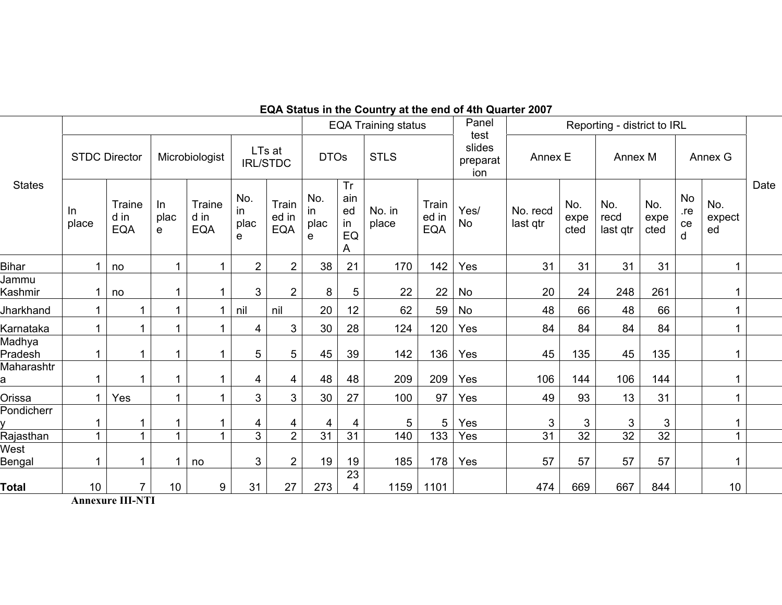|                      |                              |                  |                       |                        |                           |                         |                                   |                 |                              | Panel                             |                                                 |                                                                                                                                                                                                                                                                                            |                         |                     |                             |                             |      |
|----------------------|------------------------------|------------------|-----------------------|------------------------|---------------------------|-------------------------|-----------------------------------|-----------------|------------------------------|-----------------------------------|-------------------------------------------------|--------------------------------------------------------------------------------------------------------------------------------------------------------------------------------------------------------------------------------------------------------------------------------------------|-------------------------|---------------------|-----------------------------|-----------------------------|------|
| <b>STDC Director</b> |                              |                  | Microbiologist        |                        | LTs at<br><b>IRL/STDC</b> |                         | <b>DTOs</b>                       |                 | <b>STLS</b>                  |                                   | Annex E                                         |                                                                                                                                                                                                                                                                                            | Annex M                 |                     | Annex G                     |                             |      |
| In<br>place          | Traine<br>d in<br><b>EQA</b> | In.<br>plac<br>e | Traine<br>d in<br>EQA | No.<br>in<br>plac<br>e | Train<br>ed in<br>EQA     | No.<br>in.<br>plac<br>e | Tr<br>ain<br>ed<br>-in<br>EQ<br>A | No. in<br>place | Train<br>ed in<br><b>EQA</b> | Yes/<br><b>No</b>                 | No. recd<br>last qtr                            | No.<br>expe<br>cted                                                                                                                                                                                                                                                                        | No.<br>recd<br>last qtr | No.<br>expe<br>cted | <b>No</b><br>.re<br>ce<br>d | No.<br>expect<br>ed         | Date |
|                      | no                           |                  |                       | $\overline{2}$         | $\overline{2}$            | 38                      | 21                                | 170             | 142                          | Yes                               | 31                                              | 31                                                                                                                                                                                                                                                                                         | 31                      | 31                  |                             |                             |      |
|                      | no                           |                  |                       | 3                      | $\overline{2}$            | 8                       | 5                                 | 22              | 22                           | No                                | 20                                              | 24                                                                                                                                                                                                                                                                                         | 248                     | 261                 |                             |                             |      |
|                      | 1                            |                  |                       | nil                    | nil                       | 20                      | 12                                | 62              | 59                           | No                                | 48                                              | 66                                                                                                                                                                                                                                                                                         | 48                      | 66                  |                             | 1                           |      |
|                      | 1                            |                  |                       | 4                      | 3                         | 30                      | 28                                | 124             |                              |                                   | 84                                              | 84                                                                                                                                                                                                                                                                                         | 84                      | 84                  |                             |                             |      |
|                      | 1                            |                  |                       | 5                      | 5                         | 45                      | 39                                | 142             | 136                          | Yes                               | 45                                              | 135                                                                                                                                                                                                                                                                                        | 45                      | 135                 |                             |                             |      |
|                      | 1                            |                  |                       | 4                      | $\overline{4}$            | 48                      | 48                                | 209             | 209                          | Yes                               | 106                                             | 144                                                                                                                                                                                                                                                                                        | 106                     | 144                 |                             |                             |      |
|                      | Yes                          |                  |                       | 3                      | 3                         | 30                      | 27                                | 100             | 97                           | Yes                               | 49                                              | 93                                                                                                                                                                                                                                                                                         | 13                      | 31                  |                             |                             |      |
|                      | 1                            |                  |                       | 4                      | 4                         | 4                       | 4                                 | 5               | 5                            | Yes                               | 3                                               | 3                                                                                                                                                                                                                                                                                          | $\mathfrak{S}$          | 3                   |                             |                             |      |
|                      |                              |                  |                       | 3                      | $\overline{2}$            | 31                      | 31                                | 140             | 133                          | Yes                               | 31                                              | $\overline{32}$                                                                                                                                                                                                                                                                            | 32                      | $\overline{32}$     |                             |                             |      |
| 1                    | 1                            |                  | no                    | 3                      | $\overline{2}$            | 19                      | 19                                | 185             |                              | Yes                               | 57                                              | 57                                                                                                                                                                                                                                                                                         | 57                      | 57                  |                             |                             |      |
| 10                   | $\overline{7}$               | 10               | 9                     | 31                     | 27                        | 273                     | 23<br>4                           | 1159            | 1101                         |                                   | 474                                             | 669                                                                                                                                                                                                                                                                                        | 667                     | 844                 |                             | 10                          |      |
|                      |                              |                  |                       |                        |                           |                         |                                   |                 |                              | <b>EQA Training status</b><br>120 | test<br>slides<br>preparat<br>ion<br>Yes<br>178 | $\mathsf{L}$ and $\mathsf{R}$ are $\mathsf{R}$ . The state of the state of $\mathsf{R}$ and $\mathsf{R}$ are $\mathsf{R}$ and $\mathsf{R}$ are $\mathsf{R}$ and $\mathsf{R}$ are $\mathsf{R}$ and $\mathsf{R}$ are $\mathsf{R}$ and $\mathsf{R}$ are $\mathsf{R}$ and $\mathsf{R}$ are $\$ |                         |                     |                             | Reporting - district to IRL |      |

**EQA Status in the Country at the end of 4th Quarter 2007** 

**Annexure III-NTI**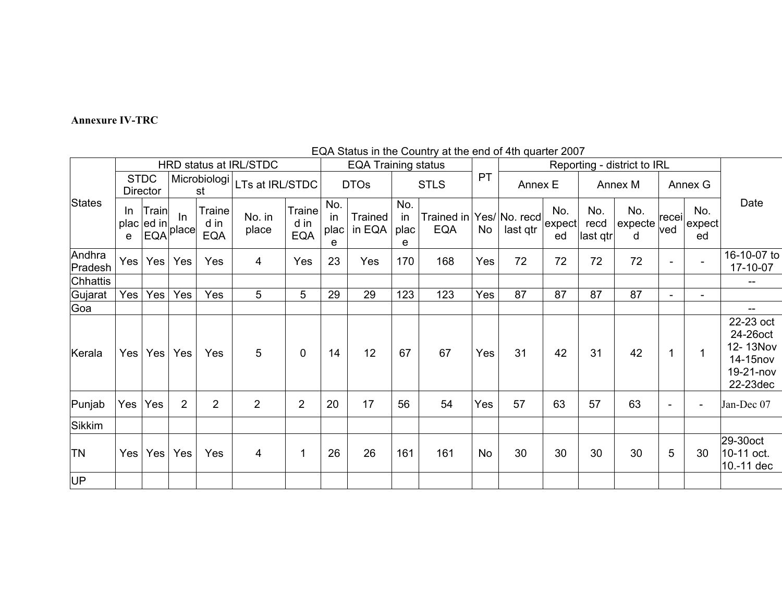#### **Annexure IV-TRC**

#### HRD status at IRL/STDC EQA Training status Reporting - district to IRL<br>
Reporting - district to IRL<br>
Reporting - district to IRL<br>
Reporting - district to IRL **STDC Director** Microbiologi  $\frac{\text{bbiologi}}{\text{st}}$ LTs at IRL/STDC | DTOs | STLS |  $\frac{\text{PT}}{\text{P}}$  Annex E | Annex M | Annex G **States** In plac $|$ ed in $|$ e **Train** EQA In place Traine d in EQA No. in place Traine d in EQA No. in plac e **Trained** in EQA No. in plac e Trained in Yes/ No. recd EQA No last qtr No. expect ed No. recd last qtr No. expecte d recei ved No. expect ed Date Andhra Andhra | Yes | Yes | Yes | 4 | Yes | 23 | Yes |170 | 168 |Yes | 72 | 72 | 72 | - | 15-10-07 to | 17-10-07 to | 17-10-07 to | 17-10-07 to | 17-10-07 to | 17-10-07 to | 17-10-07 to 17-10-07 Chhattis -- Gujarat | Yes | Yes | Yes | 5 | 5 | 29 | 29 | 123 | Yes | 87 | 87 | 87 | - | - | -Goa -- Kerala |Yes|Yes|Yes| Yes | 5 | 0 |14 | 12 |67 | 67 |Yes| 31 | 42 | 31 | 42 | 1 | 1 22-23 oct 24-26oct 12- 13Nov 14-15nov 19-21-nov 22-23dec Punjab |Yes |Yes | 2 | 2 | 2 | 2 | 20 | 17 | 56 | 54 |Yes | 57 | 63 | 57 | 63 | - | - | Jan-Dec 07 Sikkim TN IYes IYes IYes IYes I 4 I 1 1 26 I 26 1161 I 161 I No l 30 I 30 I 30 I 5 I 30 29-30oct 10-11 oct. 10.-11 dec UP

# EQA Status in the Country at the end of 4th quarter 2007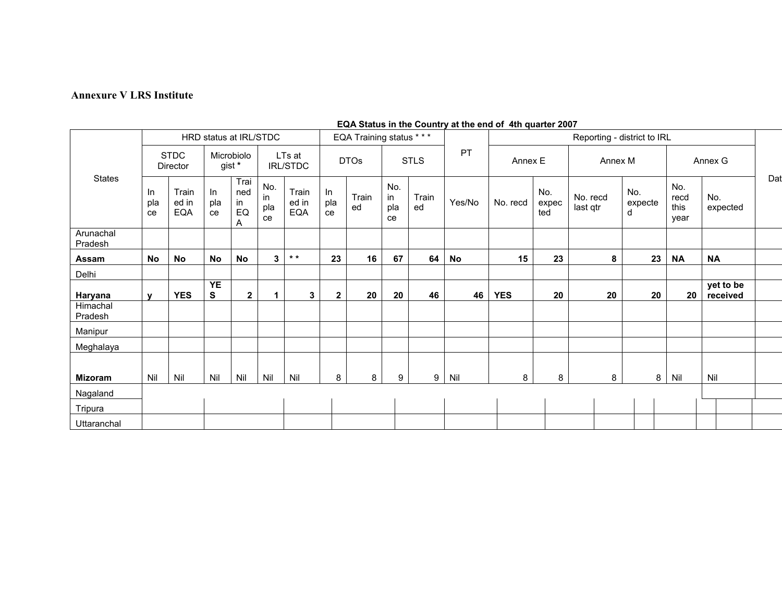#### **Annexure V LRS Institute**

|                      | HRD status at IRL/STDC  |                              |                      |                                      |                           |                       | EQA Training status *** |             |                        |             |        | Reporting - district to IRL |                     |                      |                     |                             |                       |     |
|----------------------|-------------------------|------------------------------|----------------------|--------------------------------------|---------------------------|-----------------------|-------------------------|-------------|------------------------|-------------|--------|-----------------------------|---------------------|----------------------|---------------------|-----------------------------|-----------------------|-----|
| States               | <b>STDC</b><br>Director |                              | Microbiolo<br>gist * |                                      | LTs at<br><b>IRL/STDC</b> |                       | <b>DTOs</b>             |             | <b>STLS</b>            |             | PT     | Annex E                     |                     | Annex M              |                     |                             | Annex G               |     |
|                      | In<br>pla<br>ce         | Train<br>ed in<br><b>EQA</b> | $\ln$<br>pla<br>ce   | Trai<br>ned<br>in<br>${\sf EQ}$<br>Α | No.<br>in<br>pla<br>ce    | Train<br>ed in<br>EQA | In<br>pla<br>ce         | Train<br>ed | No.<br>in<br>pla<br>ce | Train<br>ed | Yes/No | No. recd                    | No.<br>expec<br>ted | No. recd<br>last qtr | No.<br>expecte<br>d | No.<br>recd<br>this<br>year | No.<br>expected       | Dat |
| Arunachal<br>Pradesh |                         |                              |                      |                                      |                           |                       |                         |             |                        |             |        |                             |                     |                      |                     |                             |                       |     |
| Assam                | No                      | No                           | <b>No</b>            | <b>No</b>                            | 3                         | $\star$ $\star$       | 23                      | 16          | 67                     | 64          | No     | 15                          | 23                  | 8                    | 23                  | <b>NA</b>                   | <b>NA</b>             |     |
| Delhi                |                         |                              |                      |                                      |                           |                       |                         |             |                        |             |        |                             |                     |                      |                     |                             |                       |     |
| Haryana              | $\mathbf{v}$            | <b>YES</b>                   | <b>YE</b><br>S       | $\overline{2}$                       | 1                         | 3                     | $\mathbf{2}$            | 20          | 20                     | 46          | 46     | <b>YES</b>                  | 20                  | 20                   | 20                  | 20                          | yet to be<br>received |     |
| Himachal<br>Pradesh  |                         |                              |                      |                                      |                           |                       |                         |             |                        |             |        |                             |                     |                      |                     |                             |                       |     |
| Manipur              |                         |                              |                      |                                      |                           |                       |                         |             |                        |             |        |                             |                     |                      |                     |                             |                       |     |
| Meghalaya            |                         |                              |                      |                                      |                           |                       |                         |             |                        |             |        |                             |                     |                      |                     |                             |                       |     |
|                      |                         |                              |                      |                                      |                           |                       |                         |             |                        |             |        |                             |                     |                      |                     |                             |                       |     |
| <b>Mizoram</b>       | Nil                     | Nil                          | Nil                  | Nil                                  | Nil                       | Nil                   | 8                       | 8           | 9                      | 9           | Nil    | 8                           | 8                   | 8                    |                     | 8<br>Nil                    | Nil                   |     |
| Nagaland             |                         |                              |                      |                                      |                           |                       |                         |             |                        |             |        |                             |                     |                      |                     |                             |                       |     |
| Tripura              |                         |                              |                      |                                      |                           |                       |                         |             |                        |             |        |                             |                     |                      |                     |                             |                       |     |
| Uttaranchal          |                         |                              |                      |                                      |                           |                       |                         |             |                        |             |        |                             |                     |                      |                     |                             |                       |     |

### **EQA Status in the Country at the end of 4th quarter 2007**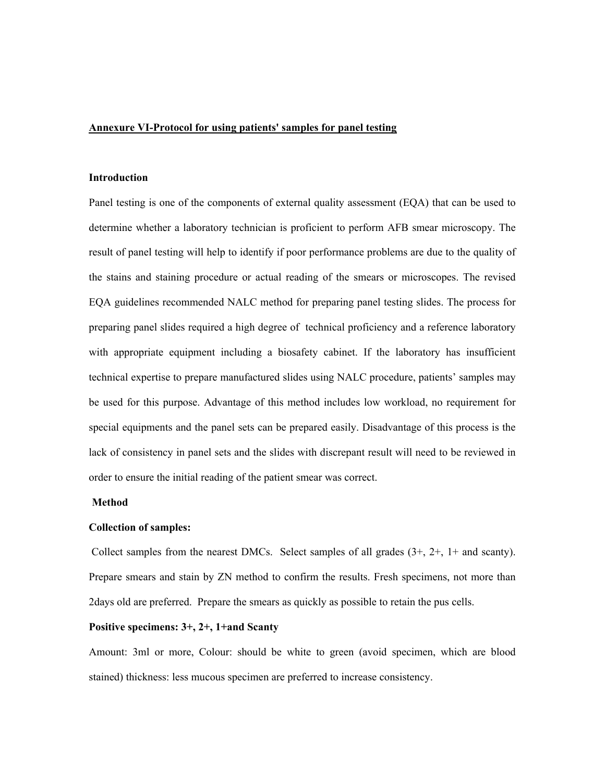#### **Annexure VI-Protocol for using patients' samples for panel testing**

#### **Introduction**

Panel testing is one of the components of external quality assessment (EQA) that can be used to determine whether a laboratory technician is proficient to perform AFB smear microscopy. The result of panel testing will help to identify if poor performance problems are due to the quality of the stains and staining procedure or actual reading of the smears or microscopes. The revised EQA guidelines recommended NALC method for preparing panel testing slides. The process for preparing panel slides required a high degree of technical proficiency and a reference laboratory with appropriate equipment including a biosafety cabinet. If the laboratory has insufficient technical expertise to prepare manufactured slides using NALC procedure, patients' samples may be used for this purpose. Advantage of this method includes low workload, no requirement for special equipments and the panel sets can be prepared easily. Disadvantage of this process is the lack of consistency in panel sets and the slides with discrepant result will need to be reviewed in order to ensure the initial reading of the patient smear was correct.

#### **Method**

### **Collection of samples:**

 Collect samples from the nearest DMCs. Select samples of all grades (3+, 2+, 1+ and scanty). Prepare smears and stain by ZN method to confirm the results. Fresh specimens, not more than 2days old are preferred. Prepare the smears as quickly as possible to retain the pus cells.

### **Positive specimens: 3+, 2+, 1+and Scanty**

Amount: 3ml or more, Colour: should be white to green (avoid specimen, which are blood stained) thickness: less mucous specimen are preferred to increase consistency.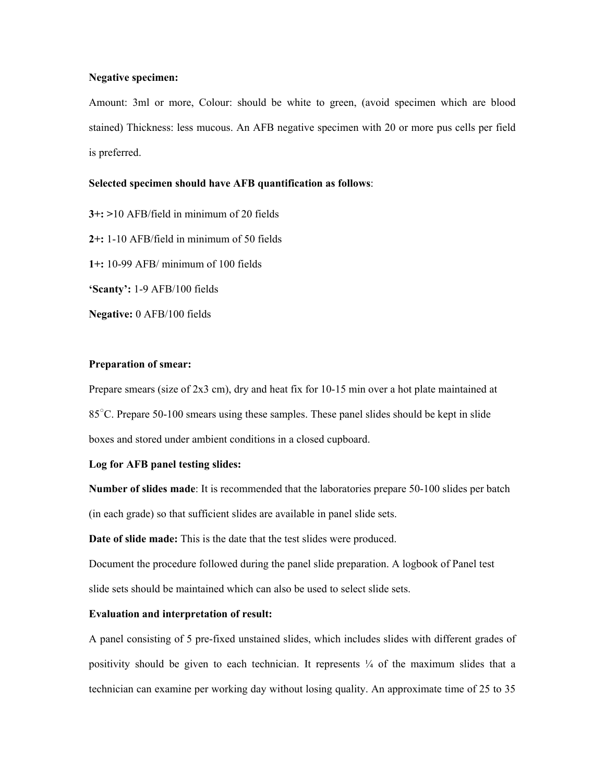#### **Negative specimen:**

Amount: 3ml or more, Colour: should be white to green, (avoid specimen which are blood stained) Thickness: less mucous. An AFB negative specimen with 20 or more pus cells per field is preferred.

#### **Selected specimen should have AFB quantification as follows**:

**3+: >**10 AFB/field in minimum of 20 fields **2+:** 1-10 AFB/field in minimum of 50 fields **1+:** 10-99 AFB/ minimum of 100 fields **'Scanty':** 1-9 AFB/100 fields **Negative:** 0 AFB/100 fields

### **Preparation of smear:**

Prepare smears (size of 2x3 cm), dry and heat fix for 10-15 min over a hot plate maintained at 85<sup>°</sup>C. Prepare 50-100 smears using these samples. These panel slides should be kept in slide boxes and stored under ambient conditions in a closed cupboard.

### **Log for AFB panel testing slides:**

**Number of slides made**: It is recommended that the laboratories prepare 50-100 slides per batch (in each grade) so that sufficient slides are available in panel slide sets.

**Date of slide made:** This is the date that the test slides were produced.

Document the procedure followed during the panel slide preparation. A logbook of Panel test slide sets should be maintained which can also be used to select slide sets.

### **Evaluation and interpretation of result:**

A panel consisting of 5 pre-fixed unstained slides, which includes slides with different grades of positivity should be given to each technician. It represents  $\frac{1}{4}$  of the maximum slides that a technician can examine per working day without losing quality. An approximate time of 25 to 35